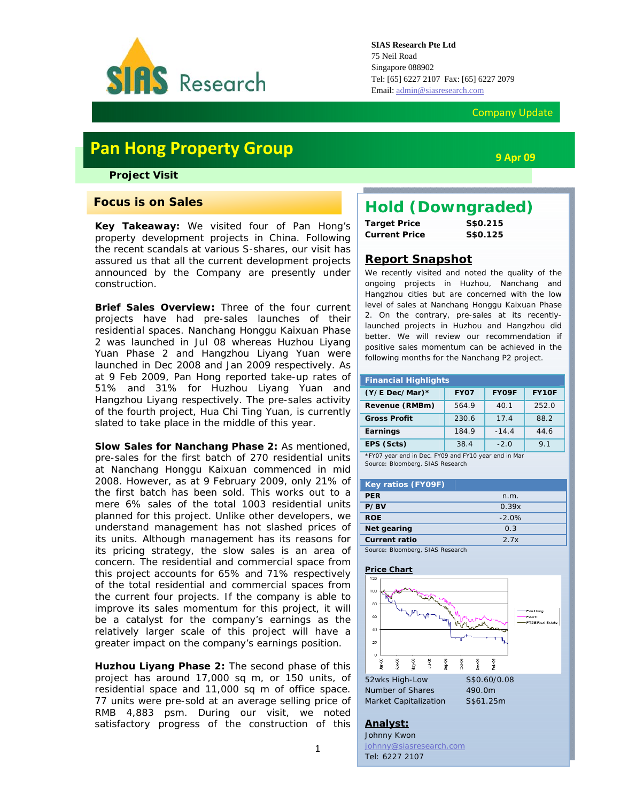

#### Company Update

# **Pan Hong Property Group**

*Project Visit* 

### **Focus is on Sales**

**Key Takeaway:** We visited four of Pan Hong's property development projects in China. Following the recent scandals at various S-shares, our visit has assured us that all the current development projects announced by the Company are presently under construction.

**Brief Sales Overview:** Three of the four current projects have had pre-sales launches of their residential spaces. Nanchang Honggu Kaixuan Phase 2 was launched in Jul 08 whereas Huzhou Liyang Yuan Phase 2 and Hangzhou Liyang Yuan were launched in Dec 2008 and Jan 2009 respectively. As at 9 Feb 2009, Pan Hong reported take-up rates of 51% and 31% for Huzhou Liyang Yuan and Hangzhou Liyang respectively. The pre-sales activity of the fourth project, Hua Chi Ting Yuan, is currently slated to take place in the middle of this year.

**Slow Sales for Nanchang Phase 2:** As mentioned, pre-sales for the first batch of 270 residential units at Nanchang Honggu Kaixuan commenced in mid 2008. However, as at 9 February 2009, only 21% of the first batch has been sold. This works out to a mere 6% sales of the total 1003 residential units planned for this project. Unlike other developers, we understand management has not slashed prices of its units. Although management has its reasons for its pricing strategy, the slow sales is an area of concern. The residential and commercial space from this project accounts for 65% and 71% respectively of the total residential and commercial spaces from the current four projects. If the company is able to improve its sales momentum for this project, it will be a catalyst for the company's earnings as the relatively larger scale of this project will have a greater impact on the company's earnings position.

**Huzhou Liyang Phase 2:** The second phase of this project has around 17,000 sq m, or 150 units, of residential space and 11,000 sq m of office space. 77 units were pre-sold at an average selling price of RMB 4,883 psm. During our visit, we noted satisfactory progress of the construction of this

# *Hold (Downgraded)*

**Target Price S\$0.215 Current Price S\$0.125**

### **Report Snapshot**

We recently visited and noted the quality of the ongoing projects in Huzhou, Nanchang and Hangzhou cities but are concerned with the low level of sales at Nanchang Honggu Kaixuan Phase 2. On the contrary, pre-sales at its recentlylaunched projects in Huzhou and Hangzhou did better. We will review our recommendation if positive sales momentum can be achieved in the following months for the Nanchang P2 project.

| <b>Financial Highlights</b> |             |         |                |  |  |  |
|-----------------------------|-------------|---------|----------------|--|--|--|
| $(Y/E$ Dec/Mar)*            | <b>FY07</b> | FY09F   | FY10F          |  |  |  |
| Revenue (RMBm)              | 564.9       | 40.1    | 252.0          |  |  |  |
| <b>Gross Profit</b>         | 230.6       | 17.4    | 88.2           |  |  |  |
| Earnings                    | 184.9       | $-14.4$ | 44.6           |  |  |  |
| EPS (Scts)                  | 38.4        | $-2.0$  | 9 <sub>1</sub> |  |  |  |

\*FY07 year end in Dec. FY09 and FY10 year end in Mar Source: Bloomberg, SIAS Research

| Key ratios (FY09F)               |         |
|----------------------------------|---------|
| <b>PER</b>                       | n.m.    |
| P/BV                             | 0.39x   |
| <b>ROE</b>                       | $-2.0%$ |
| Net gearing                      | 0.3     |
| <b>Current ratio</b>             | 27x     |
| Source: Bloomberg, SIAS Research |         |

#### **Price Chart**



#### **Analyst:**

Johnny Kwon johnny@siasresearch.com Tel: 6227 2107

**9 Apr 09**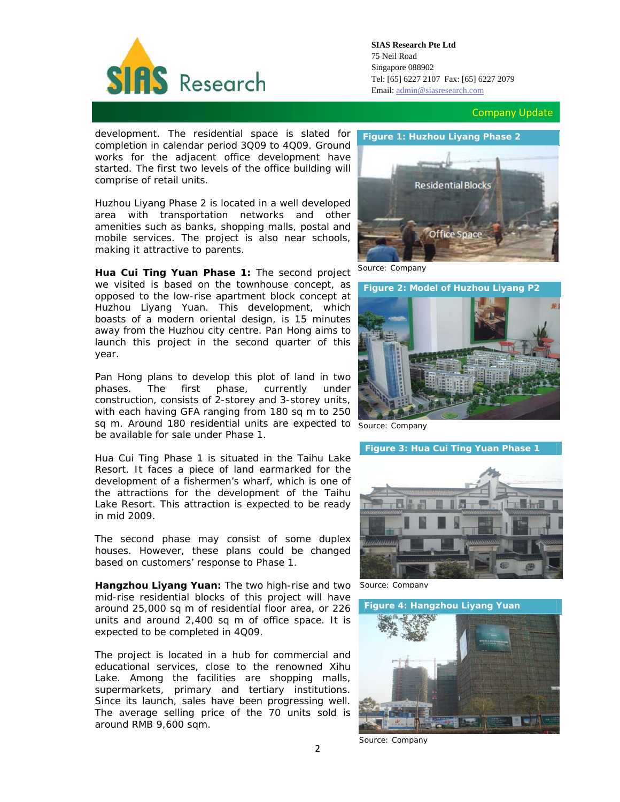

**SIAS Research Pte Ltd**  75 Neil Road Singapore 088902 Tel: [65] 6227 2107 Fax: [65] 6227 2079 Email: admin@siasresearch.com

Company Update

development. The residential space is slated for completion in calendar period 3Q09 to 4Q09. Ground works for the adjacent office development have started. The first two levels of the office building will comprise of retail units.

Huzhou Liyang Phase 2 is located in a well developed area with transportation networks and other amenities such as banks, shopping malls, postal and mobile services. The project is also near schools, making it attractive to parents.

**Hua Cui Ting Yuan Phase 1:** The second project we visited is based on the townhouse concept, as opposed to the low-rise apartment block concept at Huzhou Liyang Yuan. This development, which boasts of a modern oriental design, is 15 minutes away from the Huzhou city centre. Pan Hong aims to launch this project in the second quarter of this year.

Pan Hong plans to develop this plot of land in two phases. The first phase, currently under construction, consists of 2-storey and 3-storey units, with each having GFA ranging from 180 sq m to 250 sq m. Around 180 residential units are expected to *Source: Company* be available for sale under Phase 1.

Hua Cui Ting Phase 1 is situated in the Taihu Lake Resort. It faces a piece of land earmarked for the development of a fishermen's wharf, which is one of the attractions for the development of the Taihu Lake Resort. This attraction is expected to be ready in mid 2009.

The second phase may consist of some duplex houses. However, these plans could be changed based on customers' response to Phase 1.

**Hangzhou Liyang Yuan:** The two high-rise and two mid-rise residential blocks of this project will have around 25,000 sq m of residential floor area, or 226 units and around 2,400 sq m of office space. It is expected to be completed in 4Q09.

The project is located in a hub for commercial and educational services, close to the renowned Xihu Lake. Among the facilities are shopping malls, supermarkets, primary and tertiary institutions. Since its launch, sales have been progressing well. The average selling price of the 70 units sold is around RMB 9,600 sqm.

#### **Figure 1: Huzhou Liyang Phase 2**



*Source: Company* 

**Figure 2: Model of Huzhou Liyang P2** 





*Source: Company*



*Source: Company*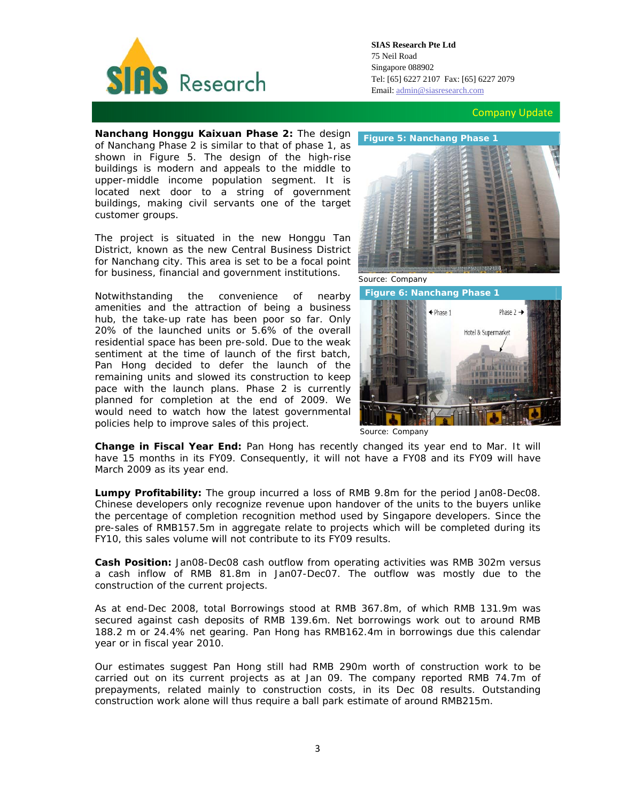

Company Update

 **Nanchang Honggu Kaixuan Phase 2:** The design of Nanchang Phase 2 is similar to that of phase 1, as shown in Figure 5. The design of the high-rise buildings is modern and appeals to the middle to upper-middle income population segment. It is located next door to a string of government buildings, making civil servants one of the target customer groups.

The project is situated in the new Honggu Tan District, known as the new Central Business District for Nanchang city. This area is set to be a focal point for business, financial and government institutions.

Notwithstanding the convenience of nearby amenities and the attraction of being a business hub, the take-up rate has been poor so far. Only 20% of the launched units or 5.6% of the overall residential space has been pre-sold. Due to the weak sentiment at the time of launch of the first batch, Pan Hong decided to defer the launch of the remaining units and slowed its construction to keep pace with the launch plans. Phase 2 is currently planned for completion at the end of 2009. We would need to watch how the latest governmental policies help to improve sales of this project.



*Source: Company* 



*Source: Company*

**Change in Fiscal Year End:** Pan Hong has recently changed its year end to Mar. It will have 15 months in its FY09. Consequently, it will not have a FY08 and its FY09 will have March 2009 as its year end.

**Lumpy Profitability:** The group incurred a loss of RMB 9.8m for the period Jan08-Dec08. Chinese developers only recognize revenue upon handover of the units to the buyers unlike the percentage of completion recognition method used by Singapore developers. Since the pre-sales of RMB157.5m in aggregate relate to projects which will be completed during its FY10, this sales volume will not contribute to its FY09 results.

**Cash Position:** Jan08-Dec08 cash outflow from operating activities was RMB 302m versus a cash inflow of RMB 81.8m in Jan07-Dec07. The outflow was mostly due to the construction of the current projects.

As at end-Dec 2008, total Borrowings stood at RMB 367.8m, of which RMB 131.9m was secured against cash deposits of RMB 139.6m. Net borrowings work out to around RMB 188.2 m or 24.4% net gearing. Pan Hong has RMB162.4m in borrowings due this calendar year or in fiscal year 2010.

Our estimates suggest Pan Hong still had RMB 290m worth of construction work to be carried out on its current projects as at Jan 09. The company reported RMB 74.7m of prepayments, related mainly to construction costs, in its Dec 08 results. Outstanding construction work alone will thus require a ball park estimate of around RMB215m.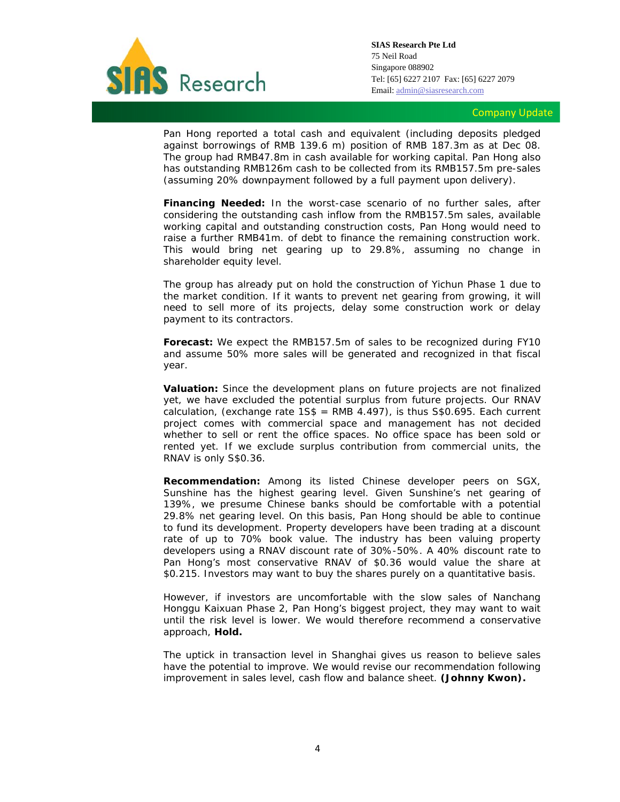

**SIAS Research Pte Ltd**  75 Neil Road Singapore 088902 Tel: [65] 6227 2107 Fax: [65] 6227 2079 Email: admin@siasresearch.com

#### Company Update

Pan Hong reported a total cash and equivalent (including deposits pledged against borrowings of RMB 139.6 m) position of RMB 187.3m as at Dec 08. The group had RMB47.8m in cash available for working capital. Pan Hong also has outstanding RMB126m cash to be collected from its RMB157.5m pre-sales (assuming 20% downpayment followed by a full payment upon delivery).

**Financing Needed:** In the worst-case scenario of no further sales, after considering the outstanding cash inflow from the RMB157.5m sales, available working capital and outstanding construction costs, Pan Hong would need to raise a further RMB41m. of debt to finance the remaining construction work. This would bring net gearing up to 29.8%, assuming no change in shareholder equity level.

The group has already put on hold the construction of Yichun Phase 1 due to the market condition. If it wants to prevent net gearing from growing, it will need to sell more of its projects, delay some construction work or delay payment to its contractors.

**Forecast:** We expect the RMB157.5m of sales to be recognized during FY10 and assume 50% more sales will be generated and recognized in that fiscal year.

**Valuation:** Since the development plans on future projects are not finalized yet, we have excluded the potential surplus from future projects. Our RNAV calculation, (exchange rate  $1S\$  = RMB 4.497), is thus S\$0.695. Each current project comes with commercial space and management has not decided whether to sell or rent the office spaces. No office space has been sold or rented yet. If we exclude surplus contribution from commercial units, the RNAV is only S\$0.36.

**Recommendation:** Among its listed Chinese developer peers on SGX, Sunshine has the highest gearing level. Given Sunshine's net gearing of 139%, we presume Chinese banks should be comfortable with a potential 29.8% net gearing level. On this basis, Pan Hong should be able to continue to fund its development. Property developers have been trading at a discount rate of up to 70% book value. The industry has been valuing property developers using a RNAV discount rate of 30%-50%. A 40% discount rate to Pan Hong's most conservative RNAV of \$0.36 would value the share at \$0.215. Investors may want to buy the shares purely on a quantitative basis.

However, if investors are uncomfortable with the slow sales of Nanchang Honggu Kaixuan Phase 2, Pan Hong's biggest project, they may want to wait until the risk level is lower. We would therefore recommend a conservative approach, **Hold.**

The uptick in transaction level in Shanghai gives us reason to believe sales have the potential to improve. We would revise our recommendation following improvement in sales level, cash flow and balance sheet. **(Johnny Kwon).**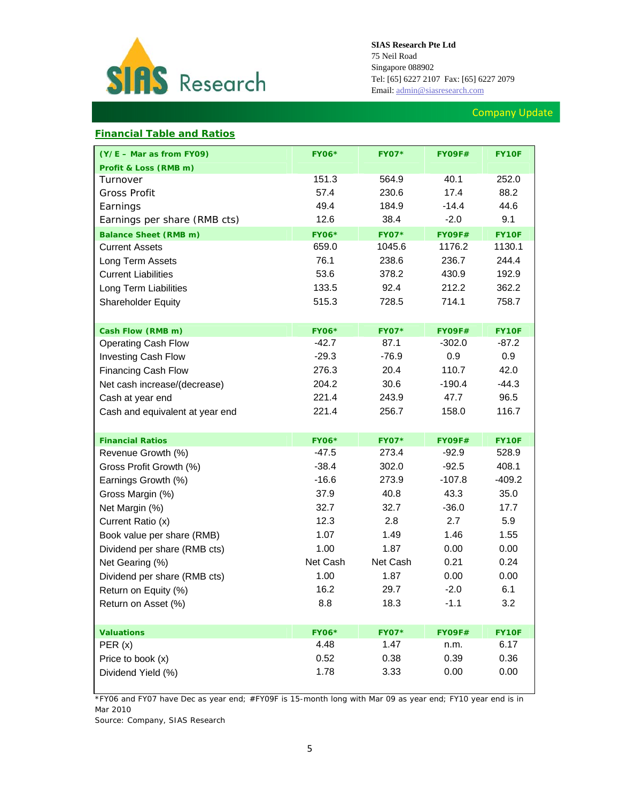

### Company Update

### **Financial Table and Ratios**

| (Y/E - Mar as from FY09)        | <b>FY06*</b> | <b>FY07*</b> | <b>FY09F#</b> | <b>FY10F</b> |
|---------------------------------|--------------|--------------|---------------|--------------|
| Profit & Loss (RMB m)           |              |              |               |              |
| Turnover                        | 151.3        | 564.9        | 40.1          | 252.0        |
| <b>Gross Profit</b>             | 57.4         | 230.6        | 17.4          | 88.2         |
| Earnings                        | 49.4         | 184.9        | $-14.4$       | 44.6         |
| Earnings per share (RMB cts)    | 12.6         | 38.4         | $-2.0$        | 9.1          |
| <b>Balance Sheet (RMB m)</b>    | <b>FY06*</b> | <b>FY07*</b> | <b>FY09F#</b> | FY10F        |
| <b>Current Assets</b>           | 659.0        | 1045.6       | 1176.2        | 1130.1       |
| Long Term Assets                | 76.1         | 238.6        | 236.7         | 244.4        |
| <b>Current Liabilities</b>      | 53.6         | 378.2        | 430.9         | 192.9        |
| Long Term Liabilities           | 133.5        | 92.4         | 212.2         | 362.2        |
| Shareholder Equity              | 515.3        | 728.5        | 714.1         | 758.7        |
|                                 |              |              |               |              |
| Cash Flow (RMB m)               | <b>FY06*</b> | <b>FY07*</b> | <b>FY09F#</b> | FY10F        |
| <b>Operating Cash Flow</b>      | $-42.7$      | 87.1         | $-302.0$      | -87.2        |
| Investing Cash Flow             | $-29.3$      | $-76.9$      | 0.9           | 0.9          |
| <b>Financing Cash Flow</b>      | 276.3        | 20.4         | 110.7         | 42.0         |
| Net cash increase/(decrease)    | 204.2        | 30.6         | $-190.4$      | $-44.3$      |
| Cash at year end                | 221.4        | 243.9        | 47.7          | 96.5         |
| Cash and equivalent at year end | 221.4        | 256.7        | 158.0         | 116.7        |
|                                 |              |              |               |              |
| <b>Financial Ratios</b>         | <b>FY06*</b> | <b>FY07*</b> | <b>FY09F#</b> | FY10F        |
| Revenue Growth (%)              | $-47.5$      | 273.4        | $-92.9$       | 528.9        |
| Gross Profit Growth (%)         | $-38.4$      | 302.0        | $-92.5$       | 408.1        |
| Earnings Growth (%)             | $-16.6$      | 273.9        | $-107.8$      | $-409.2$     |
| Gross Margin (%)                | 37.9         | 40.8         | 43.3          | 35.0         |
| Net Margin (%)                  | 32.7         | 32.7         | $-36.0$       | 17.7         |
| Current Ratio (x)               | 12.3         | 2.8          | 2.7           | 5.9          |
| Book value per share (RMB)      | 1.07         | 1.49         | 1.46          | 1.55         |
| Dividend per share (RMB cts)    | 1.00         | 1.87         | 0.00          | 0.00         |
| Net Gearing (%)                 | Net Cash     | Net Cash     | 0.21          | 0.24         |
| Dividend per share (RMB cts)    | 1.00         | 1.87         | 0.00          | 0.00         |
| Return on Equity (%)            | 16.2         | 29.7         | $-2.0$        | 6.1          |
| Return on Asset (%)             | 8.8          | 18.3         | $-1.1$        | 3.2          |
|                                 |              |              |               |              |
| <b>Valuations</b>               | <b>FY06*</b> | <b>FY07*</b> | <b>FY09F#</b> | FY10F        |
| PER(x)                          | 4.48         | 1.47         | n.m.          | 6.17         |
| Price to book (x)               | 0.52         | 0.38         | 0.39          | 0.36         |
| Dividend Yield (%)              | 1.78         | 3.33         | 0.00          | 0.00         |

*\*FY06 and FY07 have Dec as year end; #FY09F is 15-month long with Mar 09 as year end; FY10 year end is in Mar 2010* 

*Source: Company, SIAS Research*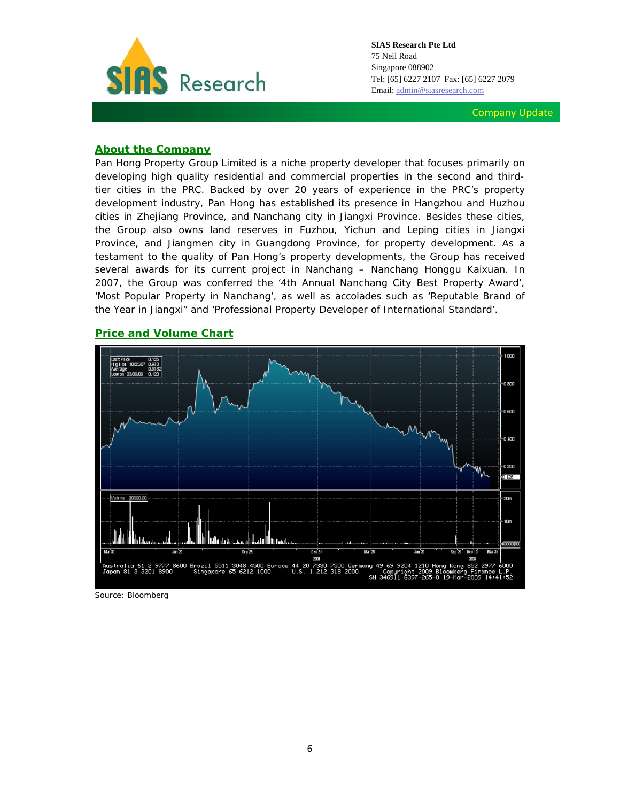

Company Update

#### **About the Company**

Pan Hong Property Group Limited is a niche property developer that focuses primarily on developing high quality residential and commercial properties in the second and thirdtier cities in the PRC. Backed by over 20 years of experience in the PRC's property development industry, Pan Hong has established its presence in Hangzhou and Huzhou cities in Zhejiang Province, and Nanchang city in Jiangxi Province. Besides these cities, the Group also owns land reserves in Fuzhou, Yichun and Leping cities in Jiangxi Province, and Jiangmen city in Guangdong Province, for property development. As a testament to the quality of Pan Hong's property developments, the Group has received several awards for its current project in Nanchang – Nanchang Honggu Kaixuan. In 2007, the Group was conferred the '4th Annual Nanchang City Best Property Award', 'Most Popular Property in Nanchang', as well as accolades such as 'Reputable Brand of the Year in Jiangxi" and 'Professional Property Developer of International Standard'.

## **Price and Volume Chart**



*Source: Bloomberg*